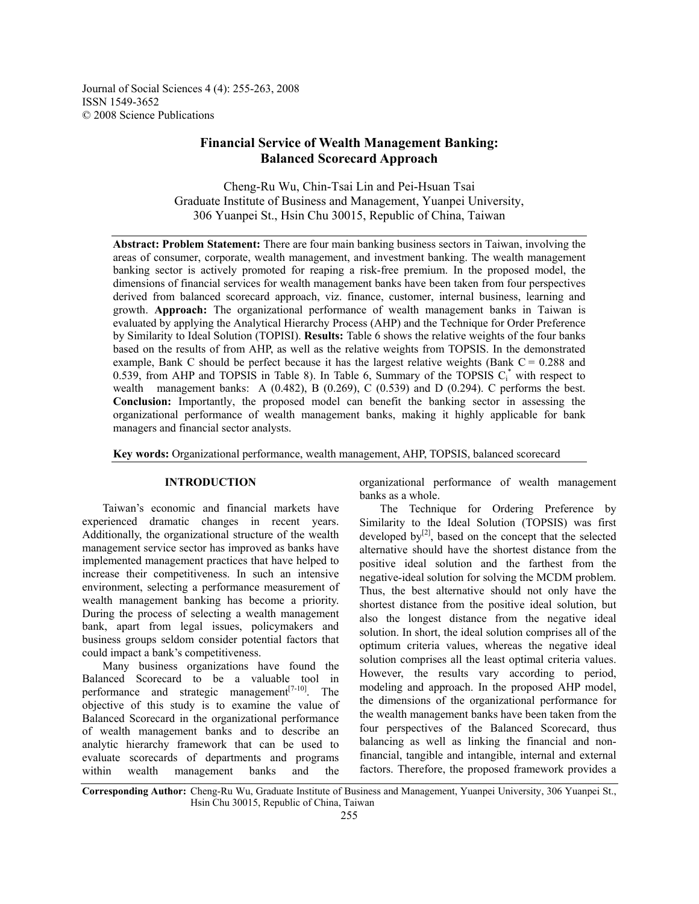Journal of Social Sciences 4 (4): 255-263, 2008 ISSN 1549-3652 © 2008 Science Publications

# **Financial Service of Wealth Management Banking: Balanced Scorecard Approach**

Cheng-Ru Wu, Chin-Tsai Lin and Pei-Hsuan Tsai Graduate Institute of Business and Management, Yuanpei University, 306 Yuanpei St., Hsin Chu 30015, Republic of China, Taiwan

**Abstract: Problem Statement:** There are four main banking business sectors in Taiwan, involving the areas of consumer, corporate, wealth management, and investment banking. The wealth management banking sector is actively promoted for reaping a risk-free premium. In the proposed model, the dimensions of financial services for wealth management banks have been taken from four perspectives derived from balanced scorecard approach, viz. finance, customer, internal business, learning and growth. **Approach:** The organizational performance of wealth management banks in Taiwan is evaluated by applying the Analytical Hierarchy Process (AHP) and the Technique for Order Preference by Similarity to Ideal Solution (TOPISI). **Results:** Table 6 shows the relative weights of the four banks based on the results of from AHP, as well as the relative weights from TOPSIS. In the demonstrated example, Bank C should be perfect because it has the largest relative weights (Bank C = 0.288 and 0.539, from AHP and TOPSIS in Table 8). In Table 6, Summary of the TOPSIS  $C_i^*$  with respect to wealth management banks: A  $(0.482)$ , B  $(0.269)$ , C  $(0.539)$  and D  $(0.294)$ . C performs the best. **Conclusion:** Importantly, the proposed model can benefit the banking sector in assessing the organizational performance of wealth management banks, making it highly applicable for bank managers and financial sector analysts.

**Key words:** Organizational performance, wealth management, AHP, TOPSIS, balanced scorecard

# **INTRODUCTION**

 Taiwan's economic and financial markets have experienced dramatic changes in recent years. Additionally, the organizational structure of the wealth management service sector has improved as banks have implemented management practices that have helped to increase their competitiveness. In such an intensive environment, selecting a performance measurement of wealth management banking has become a priority. During the process of selecting a wealth management bank, apart from legal issues, policymakers and business groups seldom consider potential factors that could impact a bank's competitiveness.

 Many business organizations have found the Balanced Scorecard to be a valuable tool in performance and strategic management<sup>[7-10]</sup>. The objective of this study is to examine the value of Balanced Scorecard in the organizational performance of wealth management banks and to describe an analytic hierarchy framework that can be used to evaluate scorecards of departments and programs within wealth management banks and the

organizational performance of wealth management banks as a whole.

 The Technique for Ordering Preference by Similarity to the Ideal Solution (TOPSIS) was first developed  $by^{[2]}$ , based on the concept that the selected alternative should have the shortest distance from the positive ideal solution and the farthest from the negative-ideal solution for solving the MCDM problem. Thus, the best alternative should not only have the shortest distance from the positive ideal solution, but also the longest distance from the negative ideal solution. In short, the ideal solution comprises all of the optimum criteria values, whereas the negative ideal solution comprises all the least optimal criteria values. However, the results vary according to period, modeling and approach. In the proposed AHP model, the dimensions of the organizational performance for the wealth management banks have been taken from the four perspectives of the Balanced Scorecard, thus balancing as well as linking the financial and nonfinancial, tangible and intangible, internal and external factors. Therefore, the proposed framework provides a

**Corresponding Author:** Cheng-Ru Wu, Graduate Institute of Business and Management, Yuanpei University, 306 Yuanpei St., Hsin Chu 30015, Republic of China, Taiwan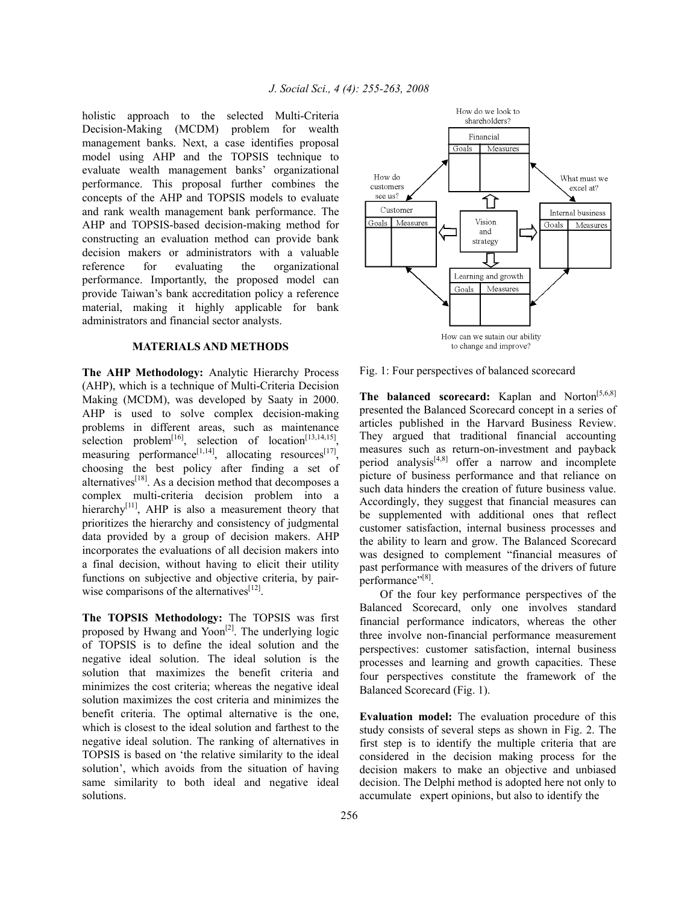holistic approach to the selected Multi-Criteria Decision-Making (MCDM) problem for wealth management banks. Next, a case identifies proposal model using AHP and the TOPSIS technique to evaluate wealth management banks' organizational performance. This proposal further combines the concepts of the AHP and TOPSIS models to evaluate and rank wealth management bank performance. The AHP and TOPSIS-based decision-making method for constructing an evaluation method can provide bank decision makers or administrators with a valuable reference for evaluating the organizational performance. Importantly, the proposed model can provide Taiwan's bank accreditation policy a reference material, making it highly applicable for bank administrators and financial sector analysts.

#### **MATERIALS AND METHODS**

**The AHP Methodology:** Analytic Hierarchy Process (AHP), which is a technique of Multi-Criteria Decision Making (MCDM), was developed by Saaty in 2000. AHP is used to solve complex decision-making problems in different areas, such as maintenance selection problem<sup>[16]</sup>, selection of location<sup>[13,14,15]</sup>, measuring performance<sup>[1,14]</sup>, allocating resources<sup>[17]</sup>, choosing the best policy after finding a set of alternatives $[18]$ . As a decision method that decomposes a complex multi-criteria decision problem into a hierarchy<sup>[11]</sup>, AHP is also a measurement theory that prioritizes the hierarchy and consistency of judgmental data provided by a group of decision makers. AHP incorporates the evaluations of all decision makers into a final decision, without having to elicit their utility functions on subjective and objective criteria, by pairwise comparisons of the alternatives $[12]$ .

**The TOPSIS Methodology:** The TOPSIS was first proposed by Hwang and Yoon $^{[2]}$ . The underlying logic of TOPSIS is to define the ideal solution and the negative ideal solution. The ideal solution is the solution that maximizes the benefit criteria and minimizes the cost criteria; whereas the negative ideal solution maximizes the cost criteria and minimizes the benefit criteria. The optimal alternative is the one, which is closest to the ideal solution and farthest to the negative ideal solution. The ranking of alternatives in TOPSIS is based on 'the relative similarity to the ideal solution', which avoids from the situation of having same similarity to both ideal and negative ideal solutions.



Fig. 1: Four perspectives of balanced scorecard

The balanced scorecard: Kaplan and Norton<sup>[5,6,8]</sup> presented the Balanced Scorecard concept in a series of articles published in the Harvard Business Review. They argued that traditional financial accounting measures such as return-on-investment and payback period analysis $[4,8]$  offer a narrow and incomplete picture of business performance and that reliance on such data hinders the creation of future business value. Accordingly, they suggest that financial measures can be supplemented with additional ones that reflect customer satisfaction, internal business processes and the ability to learn and grow. The Balanced Scorecard was designed to complement "financial measures of past performance with measures of the drivers of future performance"<sup>[8]</sup>.

 Of the four key performance perspectives of the Balanced Scorecard, only one involves standard financial performance indicators, whereas the other three involve non-financial performance measurement perspectives: customer satisfaction, internal business processes and learning and growth capacities. These four perspectives constitute the framework of the Balanced Scorecard (Fig. 1).

**Evaluation model:** The evaluation procedure of this study consists of several steps as shown in Fig. 2. The first step is to identify the multiple criteria that are considered in the decision making process for the decision makers to make an objective and unbiased decision. The Delphi method is adopted here not only to accumulate expert opinions, but also to identify the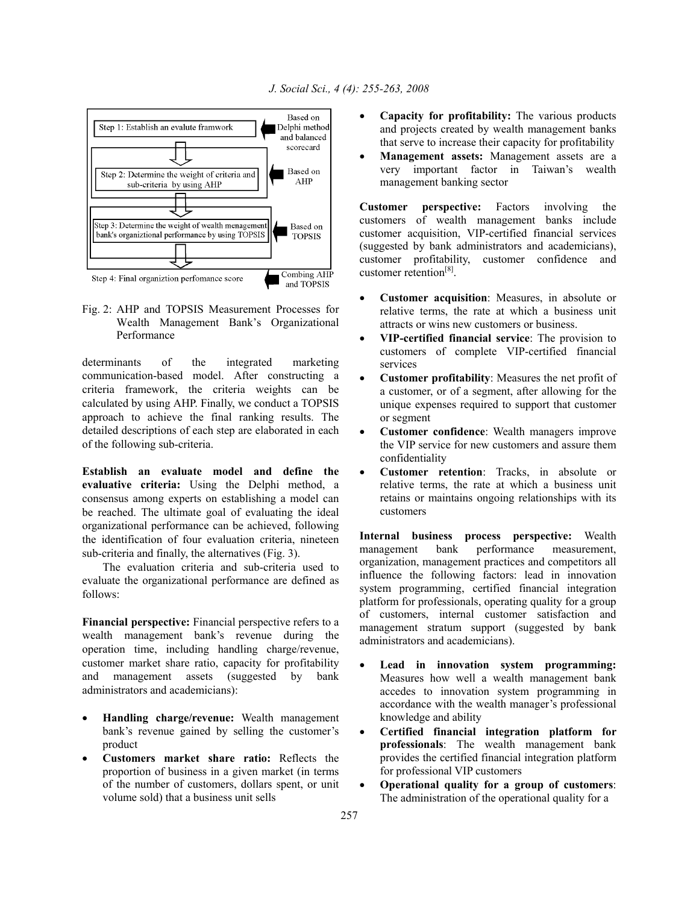

Fig. 2: AHP and TOPSIS Measurement Processes for Wealth Management Bank's Organizational Performance

determinants of the integrated marketing communication-based model. After constructing a criteria framework, the criteria weights can be calculated by using AHP. Finally, we conduct a TOPSIS approach to achieve the final ranking results. The detailed descriptions of each step are elaborated in each of the following sub-criteria.

**Establish an evaluate model and define the evaluative criteria:** Using the Delphi method, a consensus among experts on establishing a model can be reached. The ultimate goal of evaluating the ideal organizational performance can be achieved, following the identification of four evaluation criteria, nineteen sub-criteria and finally, the alternatives (Fig. 3).

 The evaluation criteria and sub-criteria used to evaluate the organizational performance are defined as follows:

**Financial perspective:** Financial perspective refers to a wealth management bank's revenue during the operation time, including handling charge/revenue, customer market share ratio, capacity for profitability and management assets (suggested by bank administrators and academicians):

- **Handling charge/revenue:** Wealth management bank's revenue gained by selling the customer's product
- **Customers market share ratio:** Reflects the proportion of business in a given market (in terms of the number of customers, dollars spent, or unit volume sold) that a business unit sells
- **Capacity for profitability:** The various products and projects created by wealth management banks that serve to increase their capacity for profitability
- **Management assets:** Management assets are a very important factor in Taiwan's wealth management banking sector

**Customer perspective:** Factors involving the customers of wealth management banks include customer acquisition, VIP-certified financial services (suggested by bank administrators and academicians), customer profitability, customer confidence and customer retention<sup>[8]</sup>

- **Customer acquisition**: Measures, in absolute or relative terms, the rate at which a business unit attracts or wins new customers or business.
- **VIP-certified financial service**: The provision to customers of complete VIP-certified financial services
- **Customer profitability**: Measures the net profit of a customer, or of a segment, after allowing for the unique expenses required to support that customer or segment
- **Customer confidence**: Wealth managers improve the VIP service for new customers and assure them confidentiality
- **Customer retention**: Tracks, in absolute or relative terms, the rate at which a business unit retains or maintains ongoing relationships with its customers

**Internal business process perspective:** Wealth management bank performance measurement, organization, management practices and competitors all influence the following factors: lead in innovation system programming, certified financial integration platform for professionals, operating quality for a group of customers, internal customer satisfaction and management stratum support (suggested by bank administrators and academicians).

- **Lead in innovation system programming:** Measures how well a wealth management bank accedes to innovation system programming in accordance with the wealth manager's professional knowledge and ability
- **Certified financial integration platform for professionals**: The wealth management bank provides the certified financial integration platform for professional VIP customers
- **Operational quality for a group of customers**: The administration of the operational quality for a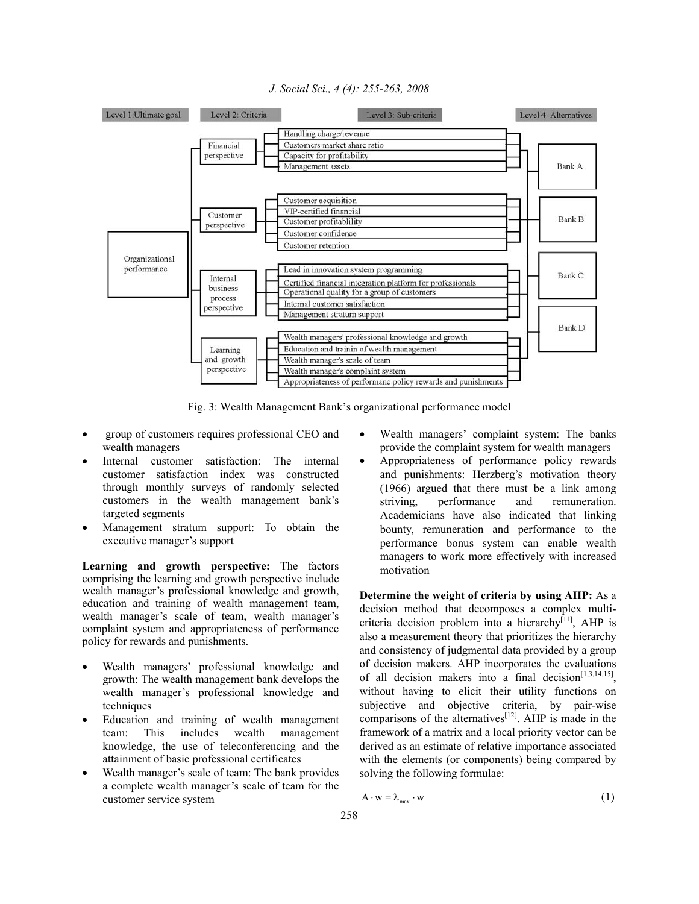

## *J. Social Sci., 4 (4): 255-263, 2008*

Fig. 3: Wealth Management Bank's organizational performance model

- group of customers requires professional CEO and wealth managers
- Internal customer satisfaction: The internal customer satisfaction index was constructed through monthly surveys of randomly selected customers in the wealth management bank's targeted segments
- Management stratum support: To obtain the executive manager's support

**Learning and growth perspective:** The factors comprising the learning and growth perspective include wealth manager's professional knowledge and growth, education and training of wealth management team, wealth manager's scale of team, wealth manager's complaint system and appropriateness of performance policy for rewards and punishments.

- Wealth managers' professional knowledge and growth: The wealth management bank develops the wealth manager's professional knowledge and techniques
- Education and training of wealth management team: This includes wealth management knowledge, the use of teleconferencing and the attainment of basic professional certificates
- Wealth manager's scale of team: The bank provides a complete wealth manager's scale of team for the customer service system
- Wealth managers' complaint system: The banks provide the complaint system for wealth managers
- Appropriateness of performance policy rewards and punishments: Herzberg's motivation theory (1966) argued that there must be a link among striving, performance and remuneration. Academicians have also indicated that linking bounty, remuneration and performance to the performance bonus system can enable wealth managers to work more effectively with increased motivation

**Determine the weight of criteria by using AHP:** As a decision method that decomposes a complex multicriteria decision problem into a hierarchy $[11]$ , AHP is also a measurement theory that prioritizes the hierarchy and consistency of judgmental data provided by a group of decision makers. AHP incorporates the evaluations of all decision makers into a final decision<sup>[1,3,14,15]</sup>, without having to elicit their utility functions on subjective and objective criteria, by pair-wise comparisons of the alternatives<sup>[12]</sup>. AHP is made in the framework of a matrix and a local priority vector can be derived as an estimate of relative importance associated with the elements (or components) being compared by solving the following formulae:

$$
A \cdot w = \lambda_{max} \cdot w \tag{1}
$$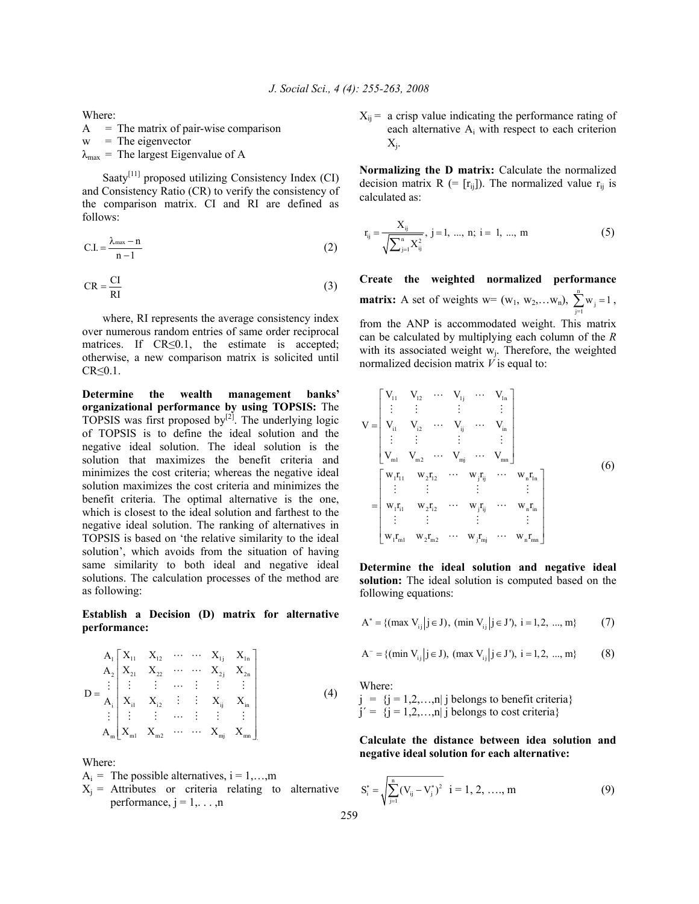Where:

 $A =$ The matrix of pair-wise comparison  $w =$ The eigenvector  $\lambda_{\text{max}}$  = The largest Eigenvalue of A

Saaty<sup>[11]</sup> proposed utilizing Consistency Index (CI) and Consistency Ratio (CR) to verify the consistency of the comparison matrix. CI and RI are defined as follows:

$$
C.I. = \frac{\lambda_{\max} - n}{n - 1} \tag{2}
$$

$$
CR = \frac{CI}{RI}
$$
 (3)

 where, RI represents the average consistency index over numerous random entries of same order reciprocal matrices. If CR≤0.1, the estimate is accepted; otherwise, a new comparison matrix is solicited until CR≤0.1.

**Determine the wealth management banks' organizational performance by using TOPSIS:** The TOPSIS was first proposed by $[2]$ . The underlying logic of TOPSIS is to define the ideal solution and the negative ideal solution. The ideal solution is the solution that maximizes the benefit criteria and minimizes the cost criteria; whereas the negative ideal solution maximizes the cost criteria and minimizes the benefit criteria. The optimal alternative is the one, which is closest to the ideal solution and farthest to the negative ideal solution. The ranking of alternatives in TOPSIS is based on 'the relative similarity to the ideal solution', which avoids from the situation of having same similarity to both ideal and negative ideal solutions. The calculation processes of the method are as following:

**Establish a Decision (D) matrix for alternative performance:** 

$$
A_{1}\begin{bmatrix} X_{11} & X_{12} & \cdots & \cdots & X_{1j} & X_{1n} \\ X_{21} & X_{22} & \cdots & \cdots & X_{2j} & X_{2n} \\ \vdots & \vdots & \cdots & \vdots & \vdots & \vdots \\ X_{i1} & X_{i2} & \cdots & X_{ij} & X_{in} \\ \vdots & \vdots & \cdots & \vdots & \vdots & \vdots \\ A_{m}\begin{bmatrix} X_{m1} & X_{m2} & \cdots & \cdots & X_{mj} & X_{mn} \end{bmatrix}
$$
 (4)

Where:

 $A_i$  = The possible alternatives,  $i = 1,...,m$ 

$$
X_j
$$
 = Attributes or criteria relating to alternative  
performance,  $j = 1, ..., n$ 

 $X_{ii}$  = a crisp value indicating the performance rating of each alternative  $A_i$  with respect to each criterion  $X_i$ .

**Normalizing the D matrix:** Calculate the normalized decision matrix  $R$  (= [r<sub>ii</sub>]). The normalized value r<sub>ii</sub> is calculated as:

$$
r_{ij} = \frac{X_{ij}}{\sqrt{\sum_{j=1}^{n} X_{ij}^2}}, \ j = 1, \ ..., \ n; \ i = 1, \ ..., \ m
$$
 (5)

**Create the weighted normalized performance matrix:** A set of weights w= (w<sub>1</sub>, w<sub>2</sub>,...w<sub>n</sub>),  $\sum_{i=1}^{n} w_i = 1$ ,  $j = 1$ = from the ANP is accommodated weight. This matrix can be calculated by multiplying each column of the *R* with its associated weight  $w_i$ . Therefore, the weighted normalized decision matrix *V* is equal to:

$$
V = \begin{bmatrix} V_{11} & V_{12} & \cdots & V_{1j} & \cdots & V_{1n} \\ \vdots & \vdots & \vdots & & \vdots & & \vdots \\ V_{i1} & V_{i2} & \cdots & V_{ij} & \cdots & V_{in} \\ \vdots & \vdots & \vdots & & \vdots & & \vdots \\ V_{m1} & V_{m2} & \cdots & V_{mj} & \cdots & V_{mn} \end{bmatrix}
$$
  
\n
$$
= \begin{bmatrix} w_1r_{11} & w_2r_{12} & \cdots & w_jr_{ij} & \cdots & w_nr_{1n} \\ w_1r_{i1} & w_2r_{i2} & \cdots & w_jr_{ij} & \cdots & w_nr_{nn} \\ \vdots & \vdots & & \vdots & & \vdots \\ w_1r_{m1} & w_2r_{m2} & \cdots & w_jr_{mj} & \cdots & w_nr_{nm} \end{bmatrix}
$$
  
\n(6)

**Determine the ideal solution and negative ideal solution:** The ideal solution is computed based on the following equations:

$$
A^* = \{ (\max V_{ij} | j \in J), (\min V_{ij} | j \in J'), i = 1, 2, ..., m \}
$$
 (7)

$$
A^- = \{ (\min V_{ij} | j \in J), (\max V_{ij} | j \in J'), i = 1, 2, ..., m \}
$$
 (8)

Where:

 $j = \{j = 1,2,...,n | j \text{ belongs to benefit criteria}\}\$  $j' = \{j = 1, 2, \dots, n | j \text{ belongs to cost criteria}\}\$ 

**Calculate the distance between idea solution and negative ideal solution for each alternative:** 

$$
S_i^* = \sqrt{\sum_{j=1}^n (V_{ij} - V_j^*)^2} \quad i = 1, 2, \dots, m
$$
 (9)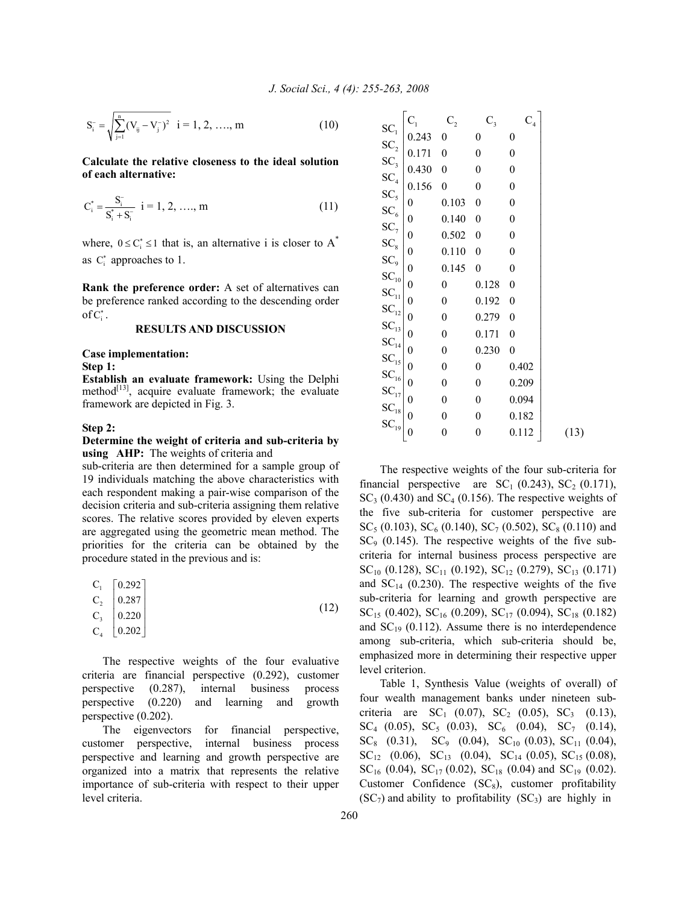$$
S_i^- = \sqrt{\sum_{j=1}^n (V_{ij} - V_j^-)^2} \quad i = 1, 2, \dots, m \tag{10}
$$

**Calculate the relative closeness to the ideal solution of each alternative:** 

$$
C_i^* = \frac{S_i^-}{S_i^* + S_i^-} \quad i = 1, 2, \dots, m
$$
 (11)

where,  $0 \leq C_i^* \leq 1$  that is, an alternative i is closer to A<sup>\*</sup> as  $C_i^*$  approaches to 1.

**Rank the preference order:** A set of alternatives can be preference ranked according to the descending order  $of C_i^*$ .

## **RESULTS AND DISCUSSION**

# **Case implementation:**

**Step 1:** 

**Establish an evaluate framework:** Using the Delphi method $[13]$ , acquire evaluate framework; the evaluate framework are depicted in Fig. 3.

#### **Step 2:**

#### **Determine the weight of criteria and sub-criteria by using AHP:** The weights of criteria and

sub-criteria are then determined for a sample group of 19 individuals matching the above characteristics with each respondent making a pair-wise comparison of the decision criteria and sub-criteria assigning them relative scores. The relative scores provided by eleven experts are aggregated using the geometric mean method. The priorities for the criteria can be obtained by the procedure stated in the previous and is:

$$
C_1 \quad \left[ 0.292 \right]
$$

$$
C_2 \left[ 0.287 \right]
$$

$$
\begin{bmatrix} 2_2 \\ C_3 \end{bmatrix} \begin{bmatrix} 0.220 \\ 0.220 \end{bmatrix} \tag{12}
$$

4  $C_4$  | 0.202  $\boxed{0.202}$ 

 The respective weights of the four evaluative criteria are financial perspective (0.292), customer perspective (0.287), internal business process perspective (0.220) and learning and growth perspective (0.202).

 The eigenvectors for financial perspective, customer perspective, internal business process perspective and learning and growth perspective are organized into a matrix that represents the relative importance of sub-criteria with respect to their upper level criteria.

| SC <sub>1</sub>                 | $C_{1}$          | $C_{2}$          | $C_{3}$          | C <sub>4</sub>   |      |
|---------------------------------|------------------|------------------|------------------|------------------|------|
| SC <sub>2</sub>                 | 0.243            | 0                | $\boldsymbol{0}$ | $\boldsymbol{0}$ |      |
|                                 | 0.171            | $\boldsymbol{0}$ | $\boldsymbol{0}$ | $\boldsymbol{0}$ |      |
| SC <sub>3</sub>                 | 0.430            | $\boldsymbol{0}$ | $\boldsymbol{0}$ | $\boldsymbol{0}$ |      |
| SC <sub>4</sub>                 | 0.156            | $\boldsymbol{0}$ | $\boldsymbol{0}$ | $\boldsymbol{0}$ |      |
| SC <sub>5</sub><br>$SC_6$       | $\boldsymbol{0}$ | 0.103            | $\boldsymbol{0}$ | $\boldsymbol{0}$ |      |
|                                 | $\overline{0}$   | 0.140            | $\boldsymbol{0}$ | $\boldsymbol{0}$ |      |
| SC <sub>7</sub>                 | $\boldsymbol{0}$ | 0.502            | $\boldsymbol{0}$ | $\boldsymbol{0}$ |      |
| $SC_8$                          | $\overline{0}$   | 0.110            | $\boldsymbol{0}$ | $\boldsymbol{0}$ |      |
| $SC_{9}$                        | $\overline{0}$   | 0.145            | $\boldsymbol{0}$ | $\boldsymbol{0}$ |      |
| $SC_{10}$                       | $\overline{0}$   | $\boldsymbol{0}$ | 0.128            | $\boldsymbol{0}$ |      |
| $SC_{11}$                       | $\overline{0}$   | $\boldsymbol{0}$ | 0.192            | $\boldsymbol{0}$ |      |
| $SC_{12}$                       | $\overline{0}$   | $\boldsymbol{0}$ | 0.279            | $\boldsymbol{0}$ |      |
| $SC_{13}$                       | $\overline{0}$   | $\boldsymbol{0}$ | 0.171            | $\boldsymbol{0}$ |      |
| SC <sub>14</sub>                | $\overline{0}$   | $\boldsymbol{0}$ | 0.230            | $\boldsymbol{0}$ |      |
| SC <sub>15</sub>                | $\overline{0}$   | $\boldsymbol{0}$ | $\boldsymbol{0}$ | 0.402            |      |
| SC <sub>16</sub>                | $\overline{0}$   | $\boldsymbol{0}$ | $\boldsymbol{0}$ | 0.209            |      |
| SC <sub>17</sub>                | $\overline{0}$   | $\boldsymbol{0}$ | $\boldsymbol{0}$ | 0.094            |      |
| $\mathbf{SC}_{18}$<br>$SC_{19}$ | $\overline{0}$   | $\boldsymbol{0}$ | $\boldsymbol{0}$ | 0.182            |      |
|                                 | $\boldsymbol{0}$ | $\boldsymbol{0}$ | $\boldsymbol{0}$ | 0.112            | (13) |
|                                 |                  |                  |                  |                  |      |

 The respective weights of the four sub-criteria for financial perspective are  $SC_1$  (0.243),  $SC_2$  (0.171),  $SC_3$  (0.430) and  $SC_4$  (0.156). The respective weights of the five sub-criteria for customer perspective are  $SC_5$  (0.103),  $SC_6$  (0.140),  $SC_7$  (0.502),  $SC_8$  (0.110) and  $SC<sub>9</sub>$  (0.145). The respective weights of the five subcriteria for internal business process perspective are  $SC_{10}$  (0.128),  $SC_{11}$  (0.192),  $SC_{12}$  (0.279),  $SC_{13}$  (0.171) and  $SC_{14}$  (0.230). The respective weights of the five sub-criteria for learning and growth perspective are  $SC_{15}$  (0.402),  $SC_{16}$  (0.209),  $SC_{17}$  (0.094),  $SC_{18}$  (0.182) and  $SC_{19}$  (0.112). Assume there is no interdependence among sub-criteria, which sub-criteria should be, emphasized more in determining their respective upper level criterion.

 Table 1, Synthesis Value (weights of overall) of four wealth management banks under nineteen subcriteria are SC<sub>1</sub> (0.07), SC<sub>2</sub> (0.05), SC<sub>3</sub> (0.13),  $SC_4$  (0.05),  $SC_5$  (0.03),  $SC_6$  (0.04),  $SC_7$  (0.14),  $SC_8$  (0.31),  $SC_9$  (0.04),  $SC_{10}$  (0.03),  $SC_{11}$  (0.04),  $SC_{12}$  (0.06),  $SC_{13}$  (0.04),  $SC_{14}$  (0.05),  $SC_{15}$  (0.08),  $SC_{16}$  (0.04),  $SC_{17}$  (0.02),  $SC_{18}$  (0.04) and  $SC_{19}$  (0.02). Customer Confidence  $(SC_8)$ , customer profitability  $(SC_7)$  and ability to profitability  $(SC_3)$  are highly in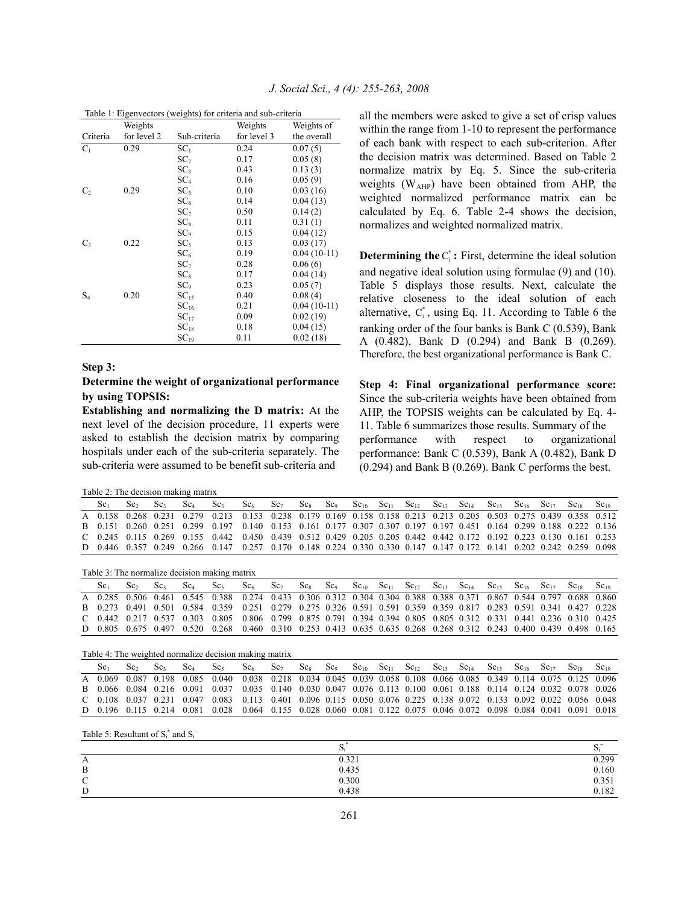| Table 1: Eigenvectors (weights) for criteria and sub-criteria |             |                 |             |               |  |  |  |  |  |  |  |
|---------------------------------------------------------------|-------------|-----------------|-------------|---------------|--|--|--|--|--|--|--|
|                                                               | Weights     |                 | Weights     | Weights of    |  |  |  |  |  |  |  |
| Criteria                                                      | for level 2 | Sub-criteria    | for level 3 | the overall   |  |  |  |  |  |  |  |
| $C_1$                                                         | 0.29        | SC <sub>1</sub> | 0.24        | 0.07(5)       |  |  |  |  |  |  |  |
|                                                               |             | SC <sub>2</sub> | 0.17        | 0.05(8)       |  |  |  |  |  |  |  |
|                                                               |             | SC <sub>3</sub> | 0.43        | 0.13(3)       |  |  |  |  |  |  |  |
|                                                               |             | SC <sub>4</sub> | 0.16        | 0.05(9)       |  |  |  |  |  |  |  |
| $C_{2}$                                                       | 0.29        | SC <sub>5</sub> | 0.10        | 0.03(16)      |  |  |  |  |  |  |  |
|                                                               |             | SC <sub>6</sub> | 0.14        | 0.04(13)      |  |  |  |  |  |  |  |
|                                                               |             | SC <sub>7</sub> | 0.50        | 0.14(2)       |  |  |  |  |  |  |  |
|                                                               |             | $SC_8$          | 0.11        | 0.31(1)       |  |  |  |  |  |  |  |
|                                                               |             | $SC_{9}$        | 0.15        | 0.04(12)      |  |  |  |  |  |  |  |
| $C_3$                                                         | 0.22        | SC <sub>5</sub> | 0.13        | 0.03(17)      |  |  |  |  |  |  |  |
|                                                               |             | SC <sub>6</sub> | 0.19        | $0.04(10-11)$ |  |  |  |  |  |  |  |
|                                                               |             | SC <sub>7</sub> | 0.28        | 0.06(6)       |  |  |  |  |  |  |  |
|                                                               |             | $SC_8$          | 0.17        | 0.04(14)      |  |  |  |  |  |  |  |
|                                                               |             | SC <sub>9</sub> | 0.23        | 0.05(7)       |  |  |  |  |  |  |  |
| $S_4$                                                         | 0.20        | $SC_{15}$       | 0.40        | 0.08(4)       |  |  |  |  |  |  |  |
|                                                               |             | $SC_{16}$       | 0.21        | $0.04(10-11)$ |  |  |  |  |  |  |  |
|                                                               |             | $SC_{17}$       | 0.09        | 0.02(19)      |  |  |  |  |  |  |  |
|                                                               |             | $SC_{18}$       | 0.18        | 0.04(15)      |  |  |  |  |  |  |  |
|                                                               |             | $SC_{19}$       | 0.11        | 0.02(18)      |  |  |  |  |  |  |  |
|                                                               |             |                 |             |               |  |  |  |  |  |  |  |

# *J. Social Sci., 4 (4): 255-263, 2008*

**Step 3:** 

# **Determine the weight of organizational performance by using TOPSIS:**

**Establishing and normalizing the D matrix:** At the next level of the decision procedure, 11 experts were asked to establish the decision matrix by comparing hospitals under each of the sub-criteria separately. The sub-criteria were assumed to be benefit sub-criteria and

Table 2: The decision making matrix

| all the members were asked to give a set of crisp values<br>within the range from 1-10 to represent the performance |
|---------------------------------------------------------------------------------------------------------------------|
| of each bank with respect to each sub-criterion. After                                                              |
| the decision matrix was determined. Based on Table 2                                                                |
| normalize matrix by Eq. 5. Since the sub-criteria                                                                   |
| weights $(W_{AHP})$ have been obtained from AHP, the                                                                |
| weighted normalized performance matrix can be                                                                       |
| calculated by Eq. 6. Table 2-4 shows the decision,                                                                  |
| normalizes and weighted normalized matrix.                                                                          |

**Determining the**  $C_i^*$ : First, determine the ideal solution and negative ideal solution using formulae (9) and (10). Table 5 displays those results. Next, calculate the relative closeness to the ideal solution of each alternative,  $C_i^*$ , using Eq. 11. According to Table 6 the ranking order of the four banks is Bank C (0.539), Bank A (0.482), Bank D (0.294) and Bank B (0.269). Therefore, the best organizational performance is Bank C.

**Step 4: Final organizational performance score:**  Since the sub-criteria weights have been obtained from AHP, the TOPSIS weights can be calculated by Eq. 4- 11. Table 6 summarizes those results. Summary of the performance with respect to organizational performance: Bank C (0.539), Bank A (0.482), Bank D (0.294) and Bank B (0.269). Bank C performs the best.

| $1401C$ $\geq$ . The decision making matrix |  |  |  |                                                                                                                       |  |                                                                                                                                 |  |  |  |  |  |  |  |  |  |
|---------------------------------------------|--|--|--|-----------------------------------------------------------------------------------------------------------------------|--|---------------------------------------------------------------------------------------------------------------------------------|--|--|--|--|--|--|--|--|--|
| Sc <sub>1</sub>                             |  |  |  | $Sc_2$ $Sc_3$ $Sc_4$ $Sc_5$                                                                                           |  | $Sc_6$ $Sc_7$ $Sc_8$ $Sc_9$ $Sc_{10}$ $Sc_{11}$ $Sc_{12}$ $Sc_{13}$ $Sc_{14}$ $Sc_{15}$ $Sc_{16}$ $Sc_{17}$ $Sc_{18}$ $Sc_{19}$ |  |  |  |  |  |  |  |  |  |
|                                             |  |  |  | A 0.158 0.268 0.231 0.279 0.213 0.153 0.238 0.179 0.169 0.158 0.158 0.213 0.213 0.205 0.503 0.275 0.439 0.358 0.512   |  |                                                                                                                                 |  |  |  |  |  |  |  |  |  |
|                                             |  |  |  | B 0.151 0.260 0.251 0.299 0.197 0.140 0.153 0.161 0.177 0.307 0.307 0.197 0.197 0.451 0.164 0.299 0.188 0.222 0.136   |  |                                                                                                                                 |  |  |  |  |  |  |  |  |  |
|                                             |  |  |  | $C$ 0.245 0.115 0.269 0.155 0.442 0.450 0.439 0.512 0.429 0.205 0.205 0.442 0.442 0.172 0.192 0.223 0.130 0.161 0.253 |  |                                                                                                                                 |  |  |  |  |  |  |  |  |  |
|                                             |  |  |  | D 0.446 0.357 0.249 0.266 0.147 0.257 0.170 0.148 0.224 0.330 0.330 0.147 0.147 0.172 0.141 0.202 0.242 0.259 0.098   |  |                                                                                                                                 |  |  |  |  |  |  |  |  |  |

| Table 3: The normalize decision making matrix |                 |                    |                 |                                                                                                                     |                 |                 |  |  |  |  |  |  |                                                                                                                   |  |  |
|-----------------------------------------------|-----------------|--------------------|-----------------|---------------------------------------------------------------------------------------------------------------------|-----------------|-----------------|--|--|--|--|--|--|-------------------------------------------------------------------------------------------------------------------|--|--|
| Sc <sub>1</sub>                               | Sc <sub>2</sub> | $S_{\mathbf{C}_3}$ | Sc <sub>4</sub> | Sc <sub>5</sub>                                                                                                     | Sc <sub>6</sub> | Sc <sub>7</sub> |  |  |  |  |  |  | $Sc_8$ $Sc_9$ $Sc_{10}$ $Sc_{11}$ $Sc_{12}$ $Sc_{13}$ $Sc_{14}$ $Sc_{15}$ $Sc_{16}$ $Sc_{17}$ $Sc_{18}$ $Sc_{19}$ |  |  |
|                                               |                 |                    |                 | A 0.285 0.506 0.461 0.545 0.388 0.274 0.433 0.306 0.312 0.304 0.304 0.388 0.388 0.371 0.867 0.544 0.797 0.688 0.860 |                 |                 |  |  |  |  |  |  |                                                                                                                   |  |  |
|                                               |                 |                    |                 | B 0.273 0.491 0.501 0.584 0.359 0.251 0.279 0.275 0.326 0.591 0.591 0.359 0.359 0.817 0.283 0.591 0.341 0.427 0.228 |                 |                 |  |  |  |  |  |  |                                                                                                                   |  |  |
|                                               |                 |                    |                 | C 0.442 0.217 0.537 0.303 0.805 0.806 0.799 0.875 0.791 0.394 0.394 0.805 0.805 0.312 0.331 0.441 0.236 0.310 0.425 |                 |                 |  |  |  |  |  |  |                                                                                                                   |  |  |
|                                               |                 |                    |                 | D 0.805 0.675 0.497 0.520 0.268 0.460 0.310 0.253 0.413 0.635 0.635 0.268 0.268 0.312 0.243 0.400 0.439 0.498 0.165 |                 |                 |  |  |  |  |  |  |                                                                                                                   |  |  |

Table 4: The weighted normalize decision making matrix

| Sc. | $Sc2$ $Sc3$ | Sc <sub>4</sub> | Sc <sub>5</sub>                                                                                                                                             | $Sc_6$ $Sc_7$ $Sc_8$ $Sc_9$ $Sc_{10}$ $Sc_{11}$ $Sc_{12}$ $Sc_{13}$ $Sc_{14}$ $Sc_{15}$ $Sc_{16}$ $Sc_{17}$ $Sc_{18}$ |  |  |  |  |  | Sc <sub>10</sub> |
|-----|-------------|-----------------|-------------------------------------------------------------------------------------------------------------------------------------------------------------|-----------------------------------------------------------------------------------------------------------------------|--|--|--|--|--|------------------|
|     |             |                 | A 0.069 0.087 0.198 0.085 0.040 0.038 0.218 0.034 0.045 0.039 0.058 0.108 0.066 0.085 0.349 0.114 0.075 0.125 0.096                                         |                                                                                                                       |  |  |  |  |  |                  |
|     |             |                 | B 0.066 0.084 0.216 0.091 0.037 0.035 0.140 0.030 0.047 0.076 0.113 0.100 0.061 0.188 0.114 0.124 0.032 0.078 0.026                                         |                                                                                                                       |  |  |  |  |  |                  |
|     |             |                 | $C = 0.108 - 0.037 - 0.231 - 0.047 - 0.083 - 0.113 - 0.401 - 0.096 - 0.115 - 0.050 - 0.076 - 0.225 - 0.138 - 0.072 - 0.133 - 0.092 - 0.022 - 0.056 - 0.048$ |                                                                                                                       |  |  |  |  |  |                  |
|     |             |                 | D 0.196 0.115 0.214 0.081 0.028 0.064 0.155 0.028 0.060 0.081 0.122 0.075 0.046 0.072 0.098 0.084 0.041 0.091 0.018                                         |                                                                                                                       |  |  |  |  |  |                  |

| Table 5: Resultant of $S_i^*$ and $S_i^-$ |       |       |
|-------------------------------------------|-------|-------|
|                                           | ιJί   | Oi.   |
| А                                         | 0.321 | 0.299 |
| B                                         | 0.435 | 0.160 |
| C                                         | 0.300 | 0.351 |
| D                                         | 0.438 | 0.182 |
|                                           |       |       |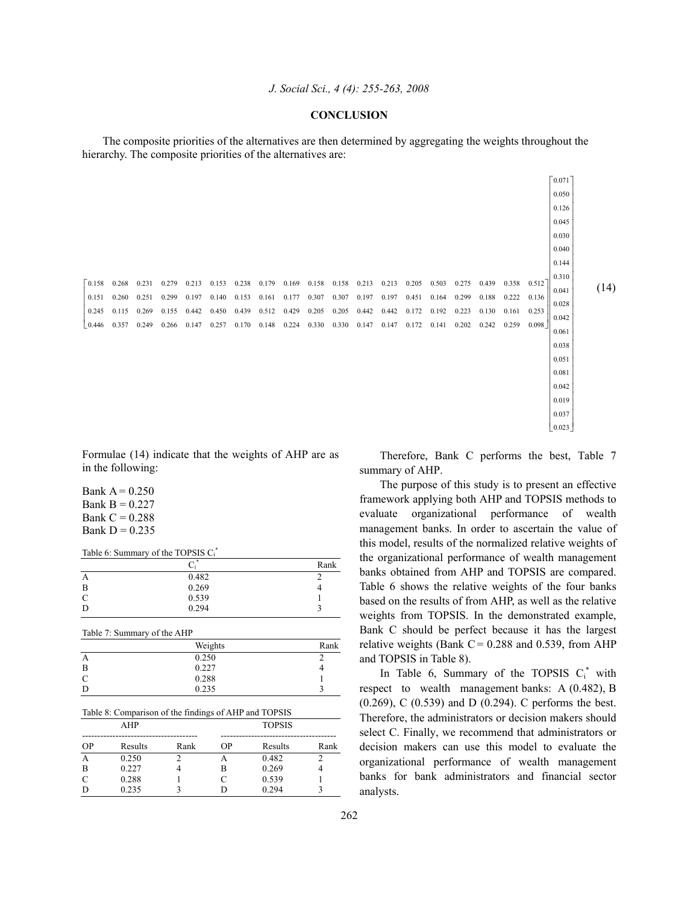#### *J. Social Sci., 4 (4): 255-263, 2008*

#### **CONCLUSION**

 The composite priorities of the alternatives are then determined by aggregating the weights throughout the hierarchy. The composite priorities of the alternatives are:

|       |       |       |       |       |       |       |       |       |       |       |       |       |       |       |       |       |       |       | 0.071 |      |
|-------|-------|-------|-------|-------|-------|-------|-------|-------|-------|-------|-------|-------|-------|-------|-------|-------|-------|-------|-------|------|
|       |       |       |       |       |       |       |       |       |       |       |       |       |       |       |       |       |       |       | 0.050 |      |
|       |       |       |       |       |       |       |       |       |       |       |       |       |       |       |       |       |       |       | 0.126 |      |
|       |       |       |       |       |       |       |       |       |       |       |       |       |       |       |       |       |       |       | 0.045 |      |
|       |       |       |       |       |       |       |       |       |       |       |       |       |       |       |       |       |       |       | 0.030 |      |
|       |       |       |       |       |       |       |       |       |       |       |       |       |       |       |       |       |       |       | 0.040 |      |
|       |       |       |       |       |       |       |       |       |       |       |       |       |       |       |       |       |       |       | 0.144 |      |
|       |       |       |       |       |       |       |       |       |       |       |       |       |       |       |       |       |       |       | 0.310 |      |
| 0.158 | 0.268 | 0.231 | 0.279 | 0.213 | 0.153 | 0.238 | 0.179 | 0.169 | 0.158 | 0.158 | 0.213 | 0.213 | 0.205 | 0.503 | 0.275 | 0.439 | 0.358 | 0.512 | 0.041 | (14) |
| 0.151 | 0.260 | 0.251 | 0.299 | 0.197 | 0.140 | 0.153 | 0.161 | 0.177 | 0.307 | 0.307 | 0.197 | 0.197 | 0.451 | 0.164 | 0.299 | 0.188 | 0.222 | 0.136 | 0.028 |      |
| 0.245 | 0.115 | 0.269 | 0.155 | 0.442 | 0.450 | 0.439 | 0.512 | 0.429 | 0.205 | 0.205 | 0.442 | 0.442 | 0.172 | 0.192 | 0.223 | 0.130 | 0.161 | 0.253 | 0.042 |      |
| 0.446 | 0.357 | 0.249 | 0.266 | 0.147 | 0.257 | 0.170 | 0.148 | 0.224 | 0.330 | 0.330 | 0.147 | 0.147 | 0.172 | 0.141 | 0.202 | 0.242 | 0.259 | 0.098 | 0.061 |      |
|       |       |       |       |       |       |       |       |       |       |       |       |       |       |       |       |       |       |       | 0.038 |      |
|       |       |       |       |       |       |       |       |       |       |       |       |       |       |       |       |       |       |       | 0.051 |      |
|       |       |       |       |       |       |       |       |       |       |       |       |       |       |       |       |       |       |       | 0.081 |      |
|       |       |       |       |       |       |       |       |       |       |       |       |       |       |       |       |       |       |       | 0.042 |      |
|       |       |       |       |       |       |       |       |       |       |       |       |       |       |       |       |       |       |       | 0.019 |      |
|       |       |       |       |       |       |       |       |       |       |       |       |       |       |       |       |       |       |       | 0.037 |      |
|       |       |       |       |       |       |       |       |       |       |       |       |       |       |       |       |       |       |       | 0.023 |      |
|       |       |       |       |       |       |       |       |       |       |       |       |       |       |       |       |       |       |       |       |      |

Formulae (14) indicate that the weights of AHP are as in the following:

Bank  $A = 0.250$ Bank  $B = 0.227$ Bank C = 0.288 Bank  $D = 0.235$ 

Table 6: Summary of the TOPSIS  $C_i^*$ 

|   | ~*<br>٣i | Rank |
|---|----------|------|
| А | 0.482    |      |
| B | 0.269    | 4    |
| C | 0.539    |      |
|   | 0.294    |      |

|   | Weights | Rank |
|---|---------|------|
| А | 0.250   |      |
| B | 0.227   |      |
| C | 0.288   |      |
|   | 0.235   |      |

Table 8: Comparison of the findings of AHP and TOPSIS

| AHP     |      |     | <b>TOPSIS</b> |      |
|---------|------|-----|---------------|------|
| Results | Rank | OP. | Results       | Rank |
| 0.250   |      |     | 0.482         |      |
| 0.227   |      |     | 0.269         |      |
| 0.288   |      |     | 0.539         |      |
| 0.235   |      |     | 0.294         |      |
|         |      |     |               |      |

 Therefore, Bank C performs the best, Table 7 summary of AHP.

 The purpose of this study is to present an effective framework applying both AHP and TOPSIS methods to evaluate organizational performance of wealth management banks. In order to ascertain the value of this model, results of the normalized relative weights of the organizational performance of wealth management banks obtained from AHP and TOPSIS are compared. Table 6 shows the relative weights of the four banks based on the results of from AHP, as well as the relative weights from TOPSIS. In the demonstrated example, Bank C should be perfect because it has the largest relative weights (Bank  $C = 0.288$  and 0.539, from AHP and TOPSIS in Table 8).

In Table 6, Summary of the TOPSIS  $C_i^*$  with respect to wealth management banks: A (0.482), B (0.269), C (0.539) and D (0.294). C performs the best. Therefore, the administrators or decision makers should select C. Finally, we recommend that administrators or decision makers can use this model to evaluate the organizational performance of wealth management banks for bank administrators and financial sector analysts.